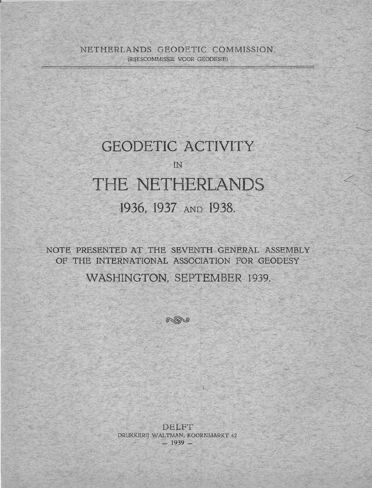NETHERLANDS GEODETIC COMMISSION. (RIJIZSCOMMISSIE VOOR GEODESIE)

## GEODETIC ACTIVITY

# IN THE NETHERLANDS 1936, 1937 AND 1938.

NOTE PRESENTED AT THE SEVENTH GENERAL ASSEMBLY OF THE INTERNATIONAL ASSOCIATION FOR GEODESY

WASHINGTON, SEPTEMBER 1939.



DELFT DRUKKERIJ WALTMAN, KOORNMARKT 62 **<sup>H</sup>1939** -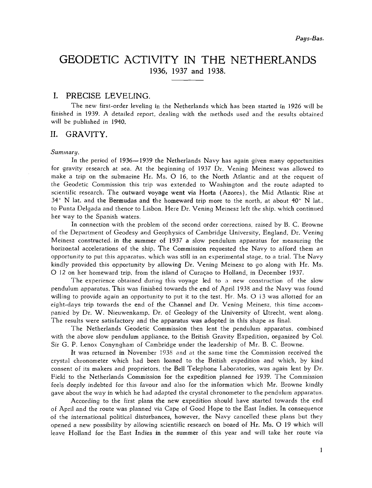## GEODETIC ACTIVITY IN THE NETHERLANDS 1936, 1937 and 1938.

#### I. PRECISE LEVELING.

The new first-order leveling in the Netherlands which has been started in 1926 will be finished in 1939. A detailed report, dealing with the methods used and the results obtained will be published in 1940.

#### **11.** GRAVITY.

#### *Summary.*

In the period of 1936-1939 the Netherlands Navy has again given many opportunities for gravity research at sea. At the beginning of  $1937$  Dr. Vening Meinesz was allowed to make a trip on the submarine Hr. Ms. 0 16, to the North Atlantic and at the request of the Geodetic Commission this trip was extended to Washington and the route adapted to scientific research. The outward voyage went via Horta (Azores), the Mid Atlantic Rise at  $34^{\circ}$  N lat. and the Bermudas and the homeward trip more to the north, at about  $40^{\circ}$  N lat., to Punta Delgada and thence to Lisbon. Here Dr. Vening Meinesz !eft the ship, which continued her way to the Spanish waters.

In connection with the problem of the second order corrections, raised by B. C. Browne of the Department of Geodesy and Geophysics of Cambridge University, England, Dr. Vening Meinesz constructed. in the summer of 1937 a slow pendulum apparatus for measuring the horizontal accelerations of the ship. The Commission requested the Navy to afford them an opportunity to put this apparatus, which was still in an experimental stage, to a trial. The Navy kindly provided this opportunity by allowing Dr. Vening Meinesz to go along with Hr. Ms. 0 12 on her homeward trip, from the island of Curacao to Holland, in December 1937.

The experience obtained during this voyage led to a new construction of the slow pendulum apparatus. This was finished towards the end of April 1938 and the Navy was found willing to provide again an opportunity to put it to the test. Hr, Ms. *0* 13 was allotted for an eight-days trip towards the end of the Channel and Dr. Vening Meinesz, this time accompanied by Dr. W. Nieuwenkamp, Dr. of Geology of the University of Utrecht, went along. The results were satisfactory and the apparatus was adopted in this shape as final.

The Netherlands Geodetic Commission then lent the pendulum apparatus, combined with the above slow pendulum appliance, to the British Gravity Expedition, organized by Col. Sir G. P. Lenox Conyngham of Cambridge under the leadership of Mr. B. C. Browne.

It was returned in November I938 and at the same time the Commission received the crystal chronometer which had been loaned to the British expedition and which, by kind consent of its makers and proprietors, the Bell Telephone Laboratories, was again lent by Dr. Field to the Netherlands Commission for the expedition planned for 1939. The Commission feels deeply indebted for this favour and also for the information which Mr. Browne kindly gave about the way in which he had adapted the crystal chronometer to the pendulum apparatus.

According to the first plans the new expedition should have started towards the end of April and the route was planned via Cape of Good Hope to the East Indies. In consequence of the international political disturbances, however, the Navy cancelled these plans but they opened a new possibility by allowing scientific research on board of Hr. Ms. 0 19 which will leave Holland for the East Indies in the summer of this year and will take her route via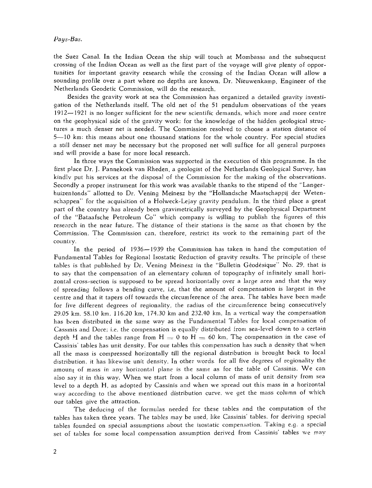the Suez Canal. In the Indian Ocean the ship will touch at Mombassa and the subsequect crossing of the Indian Ocean as well as the first part of the voyage will give plenty of opportunities for important gravity research while the crossing of the Indian Ocean will allow a sounding profile over a part where no depths are known. Dr. Nieuwenkamp, Engineer of the Netherlands Geodetic Commission, will do the research.

Besides the gravity work at sea the Commission has organized a detailed gravity investigation of the Netherlands itself. The old net of the 51 pendulum observations of the years 1912-1921 is no longer sufficient for the new scientific demands, which more and more centre on the geophysical side of the gravity work; for the knowledge of the hidden geological structures a much denser net is needed. The Commission resolved to choose a station distance oi 5-10 km: this means about one thousand stations for the whole country. For special studies a still denser net may be necessary but the proposed net will suffice for all general purposes and will provide a base for more local research.

In three ways the Commission was supported in the execution of this programme. In the first place Dr. J. Pannekoek van Rheden, a geologist of the Netherlands Geological Survey, has kindlv put his services at the disposal of the Commission for the making of the observations. Secondly a proper instrument for this work was available thanks to the stipend of the "Langerhuizentonds" allotted to Dr. Vening Meinesz by the "Hollandsche Maatschappij der Wetenschappen" for the acquisition of a Holweck-Lejay gravity pendulum. In the third place a great part of the country has already been gravimetrically surveyed by the Geophysical Department of the "Bataafsche Petroleum CO" which company is wjlling to publish the figures of this research in the near future. The distance of their stations is the same as that chosen by the Commission. The Commission can, therefore, restrict its work to the remaining part of the country.

In the period of 1936 $-1939$  the Commission has taken in hand the computation of Fundamental Tables for Regional Isostatic Reduction of gravity results. The principle of these tables is that published by Dr. Vening Meinesz in the "Bulletin Geodesique" No. 29, that is to say that the compensation of an elementary column of topography of infinitely small horizontal cross-section is supposed to be spread horizontally over a large area and that the way of spreading follows a bending curve, i.e. that the amount of compensation is largest in the centre and that it tapers off towards the circumference of :he area. 'The tables have been made for five different degrees of regionality, the radius of the circumference being consecutively 29.05 km. 58.10 km, 116.20 km, 174.30 km and 232.40 km. In a vertical way the compensation has been distributed in the same way as the Fundamental Tables for local compensation of Cassinis and Dore; i.e. the compensation is equally distributed from sea-level down to a certain depth H and the tables range from  $H = 0$  to  $H = 60$  km. The compensation in the case of Cassinis' tables has unit density. For our tables this compensation has such a density that when all the mass is compressed horizontally till the regional distribution is brought back to local distribution, it has likewise unit density. In other wcrds. for all five degrees of regionality the amount of mass in any horizontal plane is the same as for the table of Cassinis. We can also say it in this way. When we start from a local column of mass of unit density from sea level to a depth H, as adopted by Cassinis and when we spread out this mass in a horizontal way according to the above mentioned distribution curve, we get the mass column of which our tables give the attraction.

The deducing of the formulas needed for these tables and the computation of the tables has taken three years. The tables may be used, like Cassinis' tables. for deriving special tables founded on special assumptions about the isostatic compensation. Taking e.g. a special set of tables for some local compensation assumption derived from Cassinis' tables we may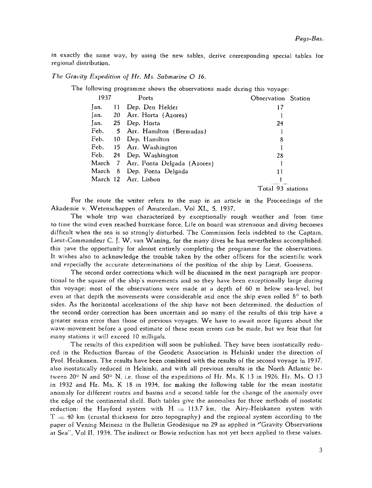in exactly the same way, by using the new tables, derive corresponding special tables for regional distribution.

*The Gravity Expedition of Hr. Ms. Submarine O 16.* 

The following programme shows the observations made during this voyage:

| 1937 |  | Ports                               | Observation Station |  |
|------|--|-------------------------------------|---------------------|--|
| lan. |  | 11 Dep. Den Helder                  | 17                  |  |
| Jan. |  | 20 Arr. Horta (Azores)              |                     |  |
| Jan. |  | 25 Dep. Horta                       | 24                  |  |
|      |  | Feb. 5 Arr. Hamilton (Bermudas)     |                     |  |
|      |  | Feb. 10 Dep. Hamilton               | 8                   |  |
|      |  | Feb. 15 Arr. Washington             |                     |  |
|      |  | Feb. 24 Dep. Washington             | 28                  |  |
|      |  | March 7 Arr. Ponta Delgada (Azores) |                     |  |
|      |  | March 8 Dep. Ponta Delgada          | 11                  |  |
|      |  | March 12 Arr. Lisbon                |                     |  |
|      |  |                                     | Total 93 stations   |  |

For the route the writer refers to the map in an article in the Proceedings of the Akademie v. Wetenschappen of Amsterdam, Vol XL, 5, 1937.

The whole trip was characterized by exceptionally rough weather and from time to time the wind even reached hurricane force. Life on board was strenuous and diving becomes difficult when the sea is so strongly disturbed. The Commission feels indebted to the Captain, Lieut-Commandeur C. J. W. van Waning, for the many dives he has nevertheless accomplished; this gave the opportunity for almost entirely completing the programme for the observations. It wishes also to acknowledge the trouble taken by the other officers for the scientific work and especially the accurate determinations of the position of the ship by Lieut. Goossens.

The second order corrections which will be discussed in the next paragraph are proportional to the square of the ship's movements and so they have been exceptionally large during this voyage: most of the observations were made at a depth of 60 m below sea-level, hut even at that depth the movements were considerable and once the ship even rolled  $8^{\circ}$  to both sides. As the horizontal accelerations of the ship have not been determined, the deduction of the second order correction has been uncertain and so many of the results of this trip have a greater mean error than those of previous voyages. We have to await more figures about the wave-movement before a good estimate of these mean errors can be made, but we fear that for many stations it will exceed 10 milligals.

The results of this expedition will soon be published. They have been isostatically reduced in the Reduction Bureau of the Geodetic Association in Helsinki under the direction of Prof. Heiskanen. The results have been combined with the results of the second voyage in 1937, also isostatically reduced in Helsinki, and with all previous results in the North Atlantic between 20° N and 50° N, i.e. those of the expeditions of Hr. Ms. K 13 in 1926, Hr. Ms. O 13 in 1932 and Hr. Ms. K 18 in 1934, for making the following table for the mean isostatic anomaly for different routes and basins and a second table for the change of the anomaly over the edge of the continental shelf. Both tables give the anomalies for three methods of isostatic reduction: the Hayford system with  $H = 113.7$  km, the Airy-Heiskanen system with  $T= 40$  km (crustal thickness for zero topography) and the regional system according to the paper of Vening Meinesz in the Bulletin Geodesique no 29 as applied in "Gravity Observations at Sea", Vol 11, 1934. The indirect or Bowie reduction has not yet been applied to these values.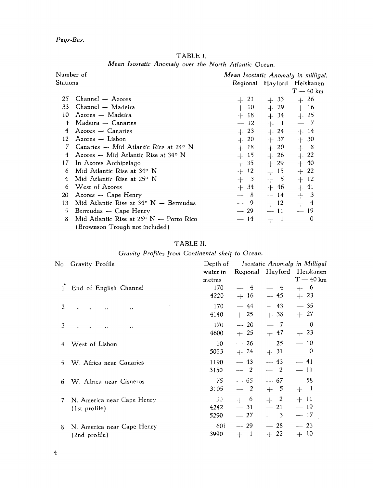Pays-Bas.

|  |                                                       | TABLE I. |  |  |
|--|-------------------------------------------------------|----------|--|--|
|  | Mean Isostatic Anomaly over the North Atlantic Ocean. |          |  |  |

| Number of      |                                                    | Mean Isostatic Anomaly in milligal. |        |                            |  |
|----------------|----------------------------------------------------|-------------------------------------|--------|----------------------------|--|
| Stations       |                                                    |                                     |        | Regional Hayford Heiskanen |  |
|                |                                                    |                                     |        | $T = 40$ km                |  |
| 25             | $Channel - A$                                      | $+21$                               | $+33$  | $+26$                      |  |
| 33             | Channel - Madeira                                  | $+10$                               | $+29$  | $+16$                      |  |
| 10             | Azores — Madeira                                   | $+18$                               | $+34$  | $+25$                      |  |
| $\overline{1}$ | Madeira $\sim$ Canaries                            | $-12$                               | $+$ 1  | $-7$                       |  |
| 4              | $Azores$ - Canaries                                | $+23$                               | $+24$  | $+ 14$                     |  |
| 12             | $Azores$ — Lisbon                                  | $+20$                               | $+37$  | $+30$                      |  |
| 7              | Canaries $\sim$ Mid Atlantic Rise at 24° N         | $+18$                               | $+20$  | $+$ 8                      |  |
| 4              | Azores – Mid Atlantic Rise at $34^{\circ}$ N       | $+15$                               | $+26$  | $+22$                      |  |
| 17             | In Azores Archipelago                              | $+35$                               | $+29$  | $+ 40$                     |  |
| 6              | Mid Atlantic Rise at 34° N                         | $+12$                               | $+15$  | $+22$                      |  |
| 4              | Mid Atlantic Rise at 25° N                         | $+3$                                | $+$ 5  | $+12$                      |  |
| 6              | West of Azores                                     | $+34$                               | $+ 46$ | $+ 41$                     |  |
| 20             | $A$ zores — Cape Henry                             | $-8$                                | $+14$  | $+$ 3                      |  |
| 13             | Mid Atlantic Rise at $34^{\circ}$ N $-$ Bermudas   | $- 9$                               | $+12$  | $+$ 4                      |  |
| 5.             | Bermudas $\sim$ Cape Henry                         | $-29$                               | $-11$  | $-19$                      |  |
| 8              | Mid Atlantic Rise at $25^{\circ}$ N $-$ Porto Rico | $-14$                               | $+$ 1  | 0                          |  |
|                | (Brownson Trough not included)                     |                                     |        |                            |  |

### TABLE **11.**

|  |  | Gravity Profiles from Continental shelf to Ocean. |  |  |  |
|--|--|---------------------------------------------------|--|--|--|
|--|--|---------------------------------------------------|--|--|--|

|   | No Gravity Profile                      | Depth of |                                           |                                | Isostatic Anomaly in Milligal |
|---|-----------------------------------------|----------|-------------------------------------------|--------------------------------|-------------------------------|
|   |                                         | water in |                                           |                                | Regional Hayford Heiskanen    |
|   |                                         | metres   |                                           |                                | $T = 40$ km                   |
| ł | End of English Channel                  | 170      | $\frac{4}{3}$<br>$\overline{\phantom{0}}$ | $-4$                           | $+ 6$                         |
|   |                                         | 4220     | $+16$                                     | $+ 45$                         | $+23$                         |
| 2 | , ,<br>$\cdot$ $\cdot$<br>$, \,$<br>, , | 170      | $-44$                                     | $-43$                          | $-35$                         |
|   |                                         | 4140     | $+25$                                     | $+38$                          | $+27$                         |
| 3 | $\bullet$<br>$\cdots$<br>, ,<br>, ,     | 170      | $-20$                                     | $-7$                           | $\theta$                      |
|   |                                         | 4600     | $+25$                                     | $+ 47$                         | $+23$                         |
| 4 | West of Lisbon                          | 10       | $-26$                                     | $-25$                          | $-10$                         |
|   |                                         | 5053     | $+24$                                     | $+31$                          | $\mathbf 0$                   |
| 5 | W. Africa near Canaries                 | 1190     | $-43$                                     | $-43$                          | $-41$                         |
|   |                                         | 3150     | $-2$                                      | $-2$                           | $-11$                         |
| 6 | W. Africa near Cisneros                 | 75       | $-65$                                     | $-67$                          | $-58$                         |
|   |                                         | 3105     | $-2$                                      | $+$ 5                          | $+$ 1                         |
| 7 | N. America near Cape Henry              | 30       | $+ 6$                                     | $+$ 2                          | $+11$                         |
|   | (1st profile)                           | 4242     | $-31$                                     | $\overline{\phantom{0}}$<br>21 | $-19$                         |
|   |                                         | 5290     | $-27$                                     | $\overline{\mathbf{3}}$        | $-17$                         |
| 8 | N. America near Cape Henry              | 60?      | $-29$                                     | $-28$                          | $-23$                         |
|   | (2nd profile)                           | 3990     | $+$ 1                                     | $+22$                          | $+10$                         |
|   |                                         |          |                                           |                                |                               |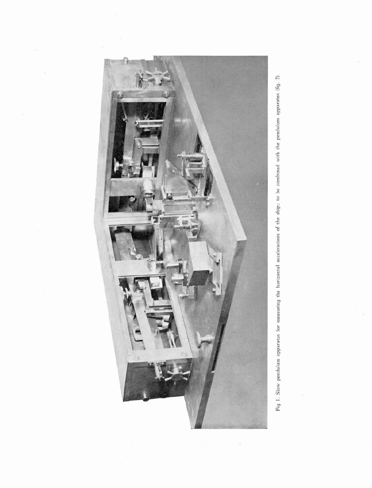

Fig 1. Slow pendulum apparatus for measuring the horizontal accelerations of the ship: to be combined with the pendulum apparatus (fig. 2).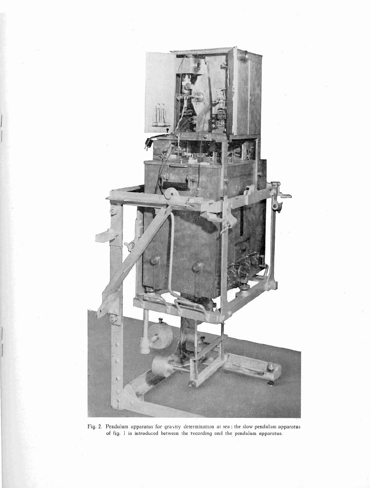

**Fig. 2. Pendulum apparatus for gravity determination at sea** : **the slow pendulum apparatus of fig. 1 is introduced between the recording and the pendulum apparatus.**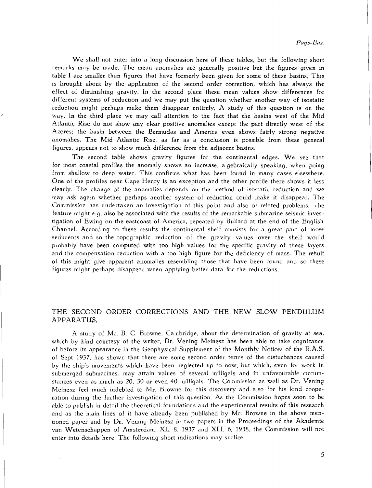We shall not enter into a long discussion here of these tables, but the following short remarks may be made. The mean anomalies are generally positive but the figures given in table I are smaller than figures that have formerly been given for some of these basins. This is brought about by the application of the second order correction, which has always the effect of diminishing gravity. In the second place these mean values show differences for different systems of reduction and we may put the question whether another way of isostatic reduction might perhaps make them disappear entirely. A study of this question is on the way. In the third place we may call attention to the fact that the basins west of the Mid Atlantic Rise do not show any clear positive anomalies except the part directly west of the Azores: the basin between the Bermudas and America even shows fairly strong negative anornalies. The Mid Atlantic Rise, as far as a conclusion is possible from these general figures, appears not to show much difference from the adjacent basins.

The second table shows gravity figures for the continental edges. We see that for most coastal profiles the anomaly shows an increase, algebraically speaking, when going from shallow to deep water. This confirms what has been found in many cases elsewhere. One of the profiles near Cape Henry is an exception and the other profile there. shows it less clearly. The change of the anomalies depends on the method of isostatic reduction and we may ask again whether perhaps another system of reduction could make it disappear. The Commission has undertaken an investigation of this point and also of related problems. **I** he feature might e.g. also be associated with the results of the remarkable submarine seismic investigation of Ewing on the eastcoast of America, repeated by Bullard at the end of the English Channel. According to these results the continental shelf consists for a great part of loose sediments and so the topographic reduction of the gravity values over the shelf would probably have been computed with too high values for the specific gravity of these layers and the compensation reduction with a too high figure for the deficiency of mass. The rebult of this might give apparent anomalies resembling those that have been found and so these figures might perhaps disappear when applying better data for the reductions.

#### THE SECOND ORDER CORRECTIONS AND THE NEW SLOW PENDULUM APPARATUS.

A study of Mr. B. C. Browne, Cambridge, about the determination of gravity at see, which by kind courtesy of the writer, Dr. Vening Meinesz has been able to take cognizance of before its appearance in the Geophysical Supplement of the Monthly Notices of the R.A.S. of Sept 1937, has shown that there are some second order terms of the disturbances caused by the ship's movements which have been neglected up to now, but which, even for work in submerged submarines, may attain values of several milligals and in unfavourable circumstances even as much as 20, 30 or even 40 milligals. The Commission as well as Dr. Vening Meinesz feel much indebted to Mr. Browne for this discovery and also for his kind cooperation during the further investigation of this question. As the Commission hopes soon to be able to publish in detail the theoretical foundations and the experimental results of this research and as the main lines of it have already been published by Mr. Browne in the above mentioned paper and by Dr. Vening Meinesz in two papers in the Proceedings of the Akademie van Wetenschappen of Amsterdam, XL, 8. 1937 and XLI, 6, 1938, the Commission will not enter into details here. The following short indications may suffice.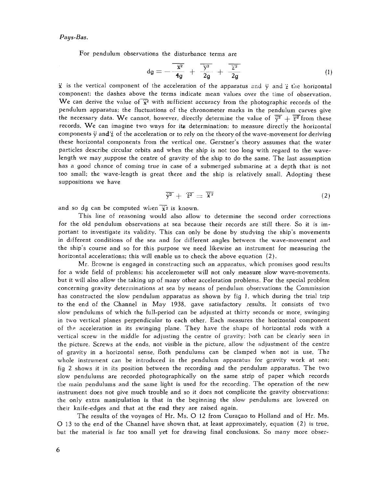For pendulum observations the disturbance terms are

$$
dg = -\frac{\overline{x^2}}{4g} + \frac{\overline{y^2}}{2g} + \frac{\overline{z^2}}{2g}
$$
 (1)

 $\ddot{x}$  is the vertical component of the acceleration of the apparatus and  $\ddot{y}$  and  $\dddot{z}$  the horizontal component; the dashes above the terms indicate mean values over the time of observation. We can derive the value of  $\overline{x}^2$  with sufficient accuracy from the photographic records of the pendulum apparatus; the fluctuations of the chronometer marks in the pendulum curves give the necessary data. We cannot, however, directly determine the value of  $\overline{\dot{y}^2} + \overline{\dot{z}^2}$  from these records. We can imagine two ways for its determination; to measure directly the horizontal components  $\ddot{v}$  and  $\ddot{z}$  of the acceleration or to rely on the theory of the wave-movement for deriving these horizontal components from the vertical one. Gerstner's theory assumes that the water particles describe circular orbits and when the ship is not too long with regard to the wavelength we may suppose the centre of gravity of the ship to do the same. The last assumption has a good chance of coming true in case of a submerged submarine at a depth that is not too small; the wave-length is great there and the ship is relatively small. Adopting these suppositions we have

$$
\overline{\ddot{y}^2} + \overline{\ddot{z}^2} = \overline{\ddot{x}^2} \tag{2}
$$

and so dg can be computed when  $\bar{x}$ <sup>2</sup> is known.

This line of reasoning would also allow to determine the second order corrections for the old pendulum observations at sea because their records are still there. So it is important to investigate its validity. This can only be done by studying the ship's movements in different conditions of the sea and for different angles between the wave-movement and the ship's course and so for this purpose we need likewise an instrument for measuring the horizontal accelerations; this will enable us to check the above equation (2).

Mr. Browne is engaged in constructing such an apparatus, which promises good results for a wide field of problems; his accelerometer will not only measure slow wave-movements, but it will also allow the taking up of many other acceleration problems. For the special problem concerning gravity deterininations at sea by means of pendulum observations the Commission has constructed the slow pendulum apparatus as shown by fig I, which during the trial trip to the end of the Channel in May 1938, gave satisfactory results. It consists of two slow pendulums of which the full-period can be adjusted at thirty seconds or more, swinging in two vertical planes perpendicular to each other. Each measures the horizontal component of the acceleration in its swinging plane. They have the shape of horizontal rods with a vertical screw in the middle for adjusting the centre of gravity: both can be cleariy seen in the picture. Screws at the ends, not visible in the picture, allow the adjustment of the centre of gravity in a horizontal sense. Both pendulums can be clamped when not in use. The whole instrument can be introduced in the pendulum apparatus for gravity work at sea; fig 2 shows it in its position between the recording and the pendulum apparatus. The two slow pendulums are recorded photographically on the same strip of paper which records the main pendulums and the same light is used for the recording. The operation of the new instrument does not give much trouble and so it does not complicate the gravity observations: the only extra manipulation is that in the beginning the slow pendulums are lowered on their knife-edges and that at the end they are raised again.

The results of the voyages of Hr. Ms. 0 12 from Curagao to Holland and of Hr. Ms. 0 13 to the end of the Channel have shown that, at least approximately, equation (2) is true, but the material is far too small yet for drawing final conclusions. So many more obser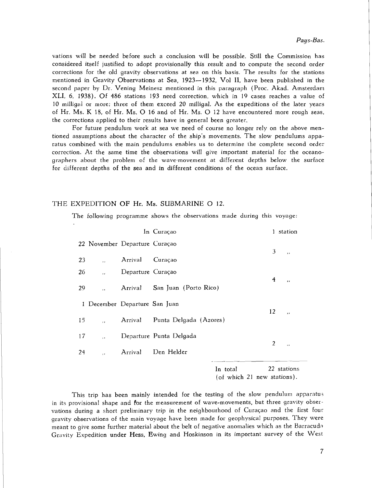vations will be needed before such a conclusion will be possible. Still the Commission has considered itself justified to adopt provisionally this result and to compute the second order corrections for the old gravity observations at sea on this basis. The results for the stations mentioned in Gravity Observations at Sea, 1923--1932, Vol **11,** have been published in the second paper by Dr. Vening Meinesz mentioned in this paragraph (Proc. Akad. Amsterdam XLI, 6, 1938). Of 486 stations 193 need correction, which in 19 cases reaches a value of 10 milligai or more; three of them exceed 20 milligal. As the expeditions of the later years of Hr. Ms. K 18, of Hr. Ms. 0 16 and of Hr. Ms. *0* 12 have encountered more rough seas, the corrections applied to their results have in general been greatet:.

For future pendulum work at sea we need of course no longer rely on the above mentioned assumptions about the character of the ship's movements. The slow pendulums apparatus combined with the main pendulums enables us to determine the complete second order correction. At the same time the observations will give important material for the oceanographers about the problem of the wave-movement at different depths below the surface for different depths of the sea and in different conditions of the ocean surface.

#### THE EXPEDITION OF Hr. Ms. SUBMARINE O 12.

The following programme shows the observations made during this voyage:

|    |                               |                   | In Curaçao                    |                                         |                | 1 station                |
|----|-------------------------------|-------------------|-------------------------------|-----------------------------------------|----------------|--------------------------|
|    | 22 November Departure Curação |                   |                               |                                         | 3              | $\ddot{\phantom{0}}$     |
| 23 |                               | Arrival           | Curaçao                       |                                         |                |                          |
| 26 | $\ddot{\phantom{1}}$          | Departure Curação |                               |                                         |                |                          |
| 29 |                               |                   | Arrival San Juan (Porto Rico) |                                         | 4              | $\overline{\phantom{a}}$ |
|    | 1 December Departure San Juan |                   |                               |                                         |                |                          |
| 15 | ,                             | Arrival           | Punta Delgada (Azores)        |                                         | 12             | $\cdot$                  |
| 17 |                               |                   | Departure Punta Delgada       |                                         |                |                          |
| 24 | , ,                           | Arrival           | Den Helder                    |                                         | $\overline{2}$ | $\ddot{\phantom{1}}$     |
|    |                               |                   |                               | In total<br>(of which 21 new stations). |                | 22 stations              |

This trip has been mainly intended for the testing of the slow pendulum apparatus in its provisional shape and For the measurement of wave-movements, but three gravity observations during a short preliminary trip in the neighbourhood of Curação and the first four gravity observations of the main voyage have been made for geophysical purposes. They were meant to give some further material about the belt of negative anomalies which as the Barracuda Gravity Expedition under Hess, Ewing and Hoskinson in its important survey of the West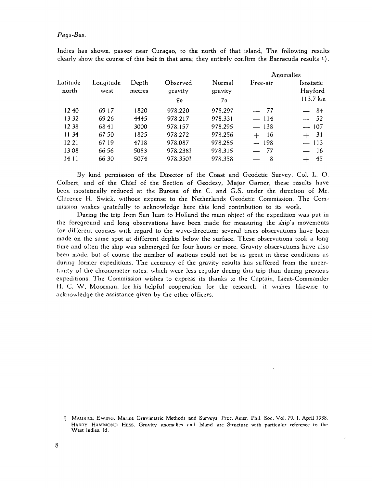#### *Pays-Bas.*

|                   |                   |                 |                           |                                 | Anomalies |                                            |  |  |
|-------------------|-------------------|-----------------|---------------------------|---------------------------------|-----------|--------------------------------------------|--|--|
| Latitude<br>north | Longitude<br>west | Depth<br>metres | Observed<br>gravity<br>g0 | Normal<br>gravity<br>$\gamma_0$ | Free-air  | Isostatic<br>Hayford<br>$113.7 \text{ km}$ |  |  |
| 12 40             | 69 17             | 1820            | 978.220                   | 978.297                         | $-77$     | $-84$                                      |  |  |
| 13 32             | 69 26             | 4445            | 978.217                   | 978.331                         | $-114$    | $-52$                                      |  |  |
| 12 38             | 6841              | 3000            | 978.157                   | 978.295                         | $-138$    | $-107$                                     |  |  |
| 11 34             | 67 50             | 1825            | 978.272                   | 978.256                         | $+$ 16    | $+ 31$                                     |  |  |
| 12 21             | 6719              | 4718            | 978.087                   | 978.285                         | $-198$    | $-113$                                     |  |  |
| 1308              | 66 56             | 5083            | 978.238?                  | 978.315                         | $-77$     | $-16$                                      |  |  |
| 14 11             | 66 30             | 5074            | 978.350?                  | 978.358                         | -8        | 45                                         |  |  |
|                   |                   |                 |                           |                                 |           |                                            |  |  |

Indies has shown, passes near Curagao, to the north of that island. The following results clearly show the course of this belt in that area; they entirely confirm the Barracuda results  $1$ ).

By kind permission of the Director of the Coast and Geodetic Survey, Col. L. 0. Colbert, and of the Chief of the Section of Geodesy, Major Garner, these results have been isostatically reduced at the Bweau of the C. and G.S. under the direction of Mr. Clarence H. Swick, without expense to the Netherlands Geodetic Commission. The Com mission wishes gratefully to acknowledge here this kind contribution to its work.

During the trip from San Juan to Holland the main object of the expedition was put in the foreground and long observations have been made for measuring the ship's movements for different courses with regard to the wave-direction; several times observations have been made on the same spot at different dephts below the surface. These observations took a long time and often the ship was submerged for four hours or more. Gravity observations have also been made, but of course the number of stations could not be as great in these conditions as during former expeditions. The accuracy of the gravity results has suffered from the uncertainty of the chronometer rates, which were less regular during this trip than during previous expeditions. The Commission wishes to express its thanks to the Captain, Lieut-Commander H. C. W. Moorman, for his helpful cooperation for the research; it wishes likewise to acknowledge the assistance given by the other officers.

<sup>&</sup>lt;sup>1</sup>) MAURICE EWING, Marine Gravimetric Methods and Surveys, Proc. Amer. Phil. Soc. Vol. 79, 1, April 1938. **HARRY HAMMOND** HESS, **Gravity anomalies and Island arc Structure with particular reference to the West Indies, Id.**